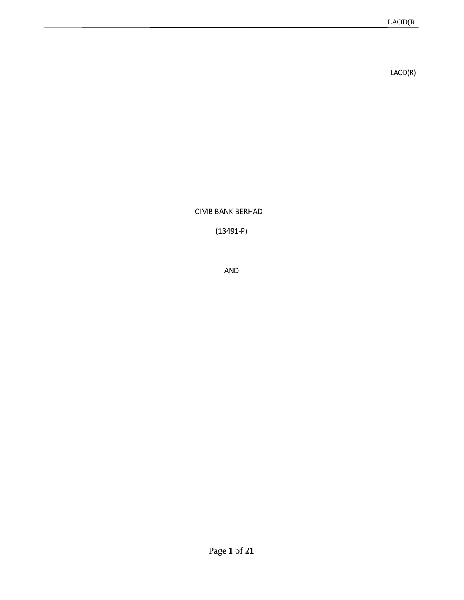LAOD(R)

CIMB BANK BERHAD

(13491-P)

AND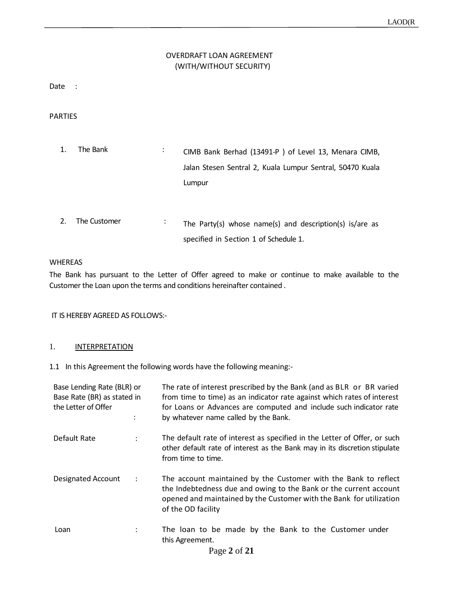# OVERDRAFT LOAN AGREEMENT (WITH/WITHOUT SECURITY)

Date :

PARTIES

| 1. | The Bank     | $\ddot{\cdot}$ | CIMB Bank Berhad (13491-P) of Level 13, Menara CIMB,      |
|----|--------------|----------------|-----------------------------------------------------------|
|    |              |                | Jalan Stesen Sentral 2, Kuala Lumpur Sentral, 50470 Kuala |
|    |              |                | Lumpur                                                    |
|    |              |                |                                                           |
|    |              |                |                                                           |
| 2. | The Customer | $\ddot{\cdot}$ | The Party(s) whose name(s) and description(s) is/are as   |
|    |              |                | specified in Section 1 of Schedule 1.                     |
|    |              |                |                                                           |

## WHEREAS

The Bank has pursuant to the Letter of Offer agreed to make or continue to make available to the Customer the Loan upon the terms and conditions hereinafter contained .

IT IS HEREBY AGREED AS FOLLOWS:-

## 1. **INTERPRETATION**

1.1 In this Agreement the following words have the following meaning:-

| Base Lending Rate (BLR) or<br>Base Rate (BR) as stated in<br>the Letter of Offer<br>$\ddot{\cdot}$ |                      | The rate of interest prescribed by the Bank (and as BLR or BR varied<br>from time to time) as an indicator rate against which rates of interest<br>for Loans or Advances are computed and include such indicator rate<br>by whatever name called by the Bank. |
|----------------------------------------------------------------------------------------------------|----------------------|---------------------------------------------------------------------------------------------------------------------------------------------------------------------------------------------------------------------------------------------------------------|
| Default Rate                                                                                       |                      | The default rate of interest as specified in the Letter of Offer, or such<br>other default rate of interest as the Bank may in its discretion stipulate<br>from time to time.                                                                                 |
| Designated Account                                                                                 | $\ddot{\phantom{a}}$ | The account maintained by the Customer with the Bank to reflect<br>the Indebtedness due and owing to the Bank or the current account<br>opened and maintained by the Customer with the Bank for utilization<br>of the OD facility                             |
| Loan                                                                                               |                      | The loan to be made by the Bank to the Customer under<br>this Agreement.                                                                                                                                                                                      |
|                                                                                                    |                      | Page 2 of 21                                                                                                                                                                                                                                                  |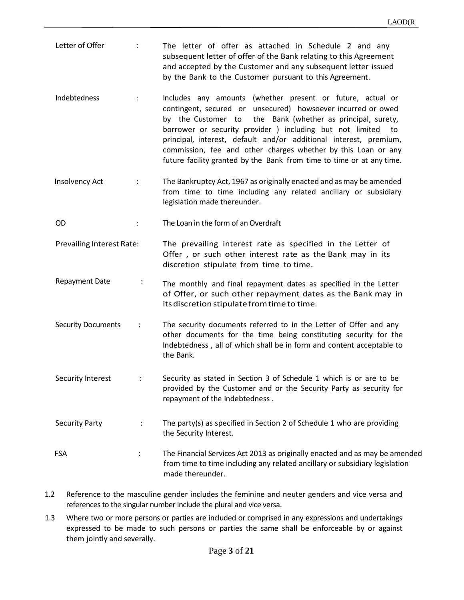- Letter of Offer : The letter of offer as attached in Schedule 2 and any subsequent letter of offer of the Bank relating to this Agreement and accepted by the Customer and any subsequent letter issued by the Bank to the Customer pursuant to this Agreement.
- Indebtedness : Includes any amounts (whether present or future, actual or contingent, secured or unsecured) howsoever incurred or owed by the Customer to the Bank (whether as principal, surety, borrower or security provider ) including but not limited to principal, interest, default and/or additional interest, premium, commission, fee and other charges whether by this Loan or any future facility granted by the Bank from time to time or at any time.
- Insolvency Act : The Bankruptcy Act, 1967 as originally enacted and as may be amended from time to time including any related ancillary or subsidiary legislation made thereunder.
- OD : The Loan in the form of an Overdraft

Prevailing Interest Rate: The prevailing interest rate as specified in the Letter of Offer , or such other interest rate as the Bank may in its discretion stipulate from time to time.

- Repayment Date : The monthly and final repayment dates as specified in the Letter of Offer, or such other repayment dates as the Bank may in its discretion stipulate from time to time.
- Security Documents : The security documents referred to in the Letter of Offer and any other documents for the time being constituting security for the Indebtedness , all of which shall be in form and content acceptable to the Bank.
- Security Interest : Security as stated in Section 3 of Schedule 1 which is or are to be provided by the Customer and or the Security Party as security for repayment of the Indebtedness .
- Security Party : The party(s) as specified in Section 2 of Schedule 1 who are providing the Security Interest.
- FSA : The Financial Services Act 2013 as originally enacted and as may be amended from time to time including any related ancillary or subsidiary legislation made thereunder.
- 1.2 Reference to the masculine gender includes the feminine and neuter genders and vice versa and references to the singular number include the plural and vice versa.
- 1.3 Where two or more persons or parties are included or comprised in any expressions and undertakings expressed to be made to such persons or parties the same shall be enforceable by or against them jointly and severally.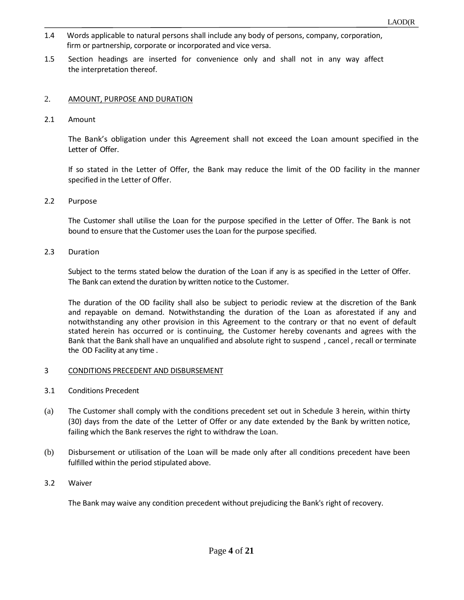- ) 1.4 Words applicable to natural persons shall include any body of persons, company, corporation, firm or partnership, corporate or incorporated and vice versa.
- 1.5 Section headings are inserted for convenience only and shall not in any way affect the interpretation thereof.

## 2. AMOUNT, PURPOSE AND DURATION

2.1 Amount

The Bank's obligation under this Agreement shall not exceed the Loan amount specified in the Letter of Offer.

If so stated in the Letter of Offer, the Bank may reduce the limit of the OD facility in the manner specified in the Letter of Offer.

2.2 Purpose

The Customer shall utilise the Loan for the purpose specified in the Letter of Offer. The Bank is not bound to ensure that the Customer uses the Loan for the purpose specified.

2.3 Duration

Subject to the terms stated below the duration of the Loan if any is as specified in the Letter of Offer. The Bank can extend the duration by written notice to the Customer.

The duration of the OD facility shall also be subject to periodic review at the discretion of the Bank and repayable on demand. Notwithstanding the duration of the Loan as aforestated if any and notwithstanding any other provision in this Agreement to the contrary or that no event of default stated herein has occurred or is continuing, the Customer hereby covenants and agrees with the Bank that the Bank shall have an unqualified and absolute right to suspend , cancel , recall or terminate the OD Facility at any time .

# 3 CONDITIONS PRECEDENT AND DISBURSEMENT

- 3.1 Conditions Precedent
- (a) The Customer shall comply with the conditions precedent set out in Schedule 3 herein, within thirty (30) days from the date of the Letter of Offer or any date extended by the Bank by written notice, failing which the Bank reserves the right to withdraw the Loan.
- (b) Disbursement or utilisation of the Loan will be made only after all conditions precedent have been fulfilled within the period stipulated above.
- 3.2 Waiver

The Bank may waive any condition precedent without prejudicing the Bank's right of recovery.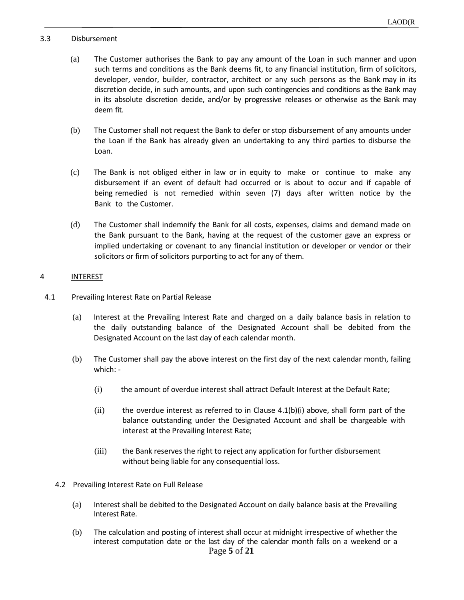### 3.3 Disbursement

- (a) The Customer authorises the Bank to pay any amount of the Loan in such manner and upon such terms and conditions as the Bank deems fit, to any financial institution, firm of solicitors, developer, vendor, builder, contractor, architect or any such persons as the Bank may in its discretion decide, in such amounts, and upon such contingencies and conditions as the Bank may in its absolute discretion decide, and/or by progressive releases or otherwise as the Bank may deem fit.
- (b) The Customer shall not request the Bank to defer or stop disbursement of any amounts under the Loan if the Bank has already given an undertaking to any third parties to disburse the Loan.
- (c) The Bank is not obliged either in law or in equity to make or continue to make any disbursement if an event of default had occurred or is about to occur and if capable of being remedied is not remedied within seven (7) days after written notice by the Bank to the Customer.
- (d) The Customer shall indemnify the Bank for all costs, expenses, claims and demand made on the Bank pursuant to the Bank, having at the request of the customer gave an express or implied undertaking or covenant to any financial institution or developer or vendor or their solicitors or firm of solicitors purporting to act for any of them.

## 4 INTEREST

- 4.1 Prevailing Interest Rate on Partial Release
	- (a) Interest at the Prevailing Interest Rate and charged on a daily balance basis in relation to the daily outstanding balance of the Designated Account shall be debited from the Designated Account on the last day of each calendar month.
	- (b) The Customer shall pay the above interest on the first day of the next calendar month, failing which: -
		- (i) the amount of overdue interest shall attract Default Interest at the Default Rate;
		- $(i)$  the overdue interest as referred to in Clause 4.1(b)(i) above, shall form part of the balance outstanding under the Designated Account and shall be chargeable with interest at the Prevailing Interest Rate;
		- (iii) the Bank reserves the right to reject any application for further disbursement without being liable for any consequential loss.
	- 4.2 Prevailing Interest Rate on Full Release
		- (a) Interest shall be debited to the Designated Account on daily balance basis at the Prevailing Interest Rate.
		- Page **5** of **21** (b) The calculation and posting of interest shall occur at midnight irrespective of whether the interest computation date or the last day of the calendar month falls on a weekend or a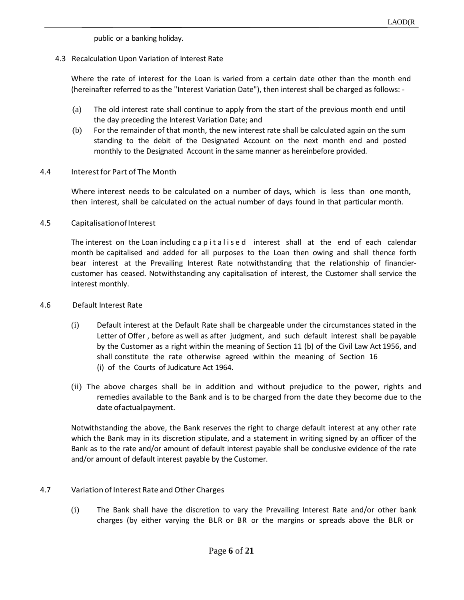public or a banking holiday.

## 4.3 Recalculation Upon Variation of Interest Rate

Where the rate of interest for the Loan is varied from a certain date other than the month end (hereinafter referred to as the "Interest Variation Date"), then interest shall be charged as follows: -

- (a) The old interest rate shall continue to apply from the start of the previous month end until the day preceding the Interest Variation Date; and
- (b) For the remainder of that month, the new interest rate shall be calculated again on the sum standing to the debit of the Designated Account on the next month end and posted monthly to the Designated Account in the same manner as hereinbefore provided.

## 4.4 Interestfor Part of The Month

Where interest needs to be calculated on a number of days, which is less than one month, then interest, shall be calculated on the actual number of days found in that particular month.

## 4.5 CapitalisationofInterest

The interest on the Loan including capitalised interest shall at the end of each calendar month be capitalised and added for all purposes to the Loan then owing and shall thence forth bear interest at the Prevailing Interest Rate notwithstanding that the relationship of financiercustomer has ceased. Notwithstanding any capitalisation of interest, the Customer shall service the interest monthly.

## 4.6 Default Interest Rate

- (i) Default interest at the Default Rate shall be chargeable under the circumstances stated in the Letter of Offer , before as well as after judgment, and such default interest shall be payable by the Customer as a right within the meaning of Section 11 (b) of the Civil Law Act 1956, and shall constitute the rate otherwise agreed within the meaning of Section 16 (i) of the Courts of Judicature Act 1964.
- (ii) The above charges shall be in addition and without prejudice to the power, rights and remedies available to the Bank and is to be charged from the date they become due to the date of actual payment.

Notwithstanding the above, the Bank reserves the right to charge default interest at any other rate which the Bank may in its discretion stipulate, and a statement in writing signed by an officer of the Bank as to the rate and/or amount of default interest payable shall be conclusive evidence of the rate and/or amount of default interest payable by the Customer.

# 4.7 Variation of Interest Rate and Other Charges

(i) The Bank shall have the discretion to vary the Prevailing Interest Rate and/or other bank charges (by either varying the BLR or BR or the margins or spreads above the BLR or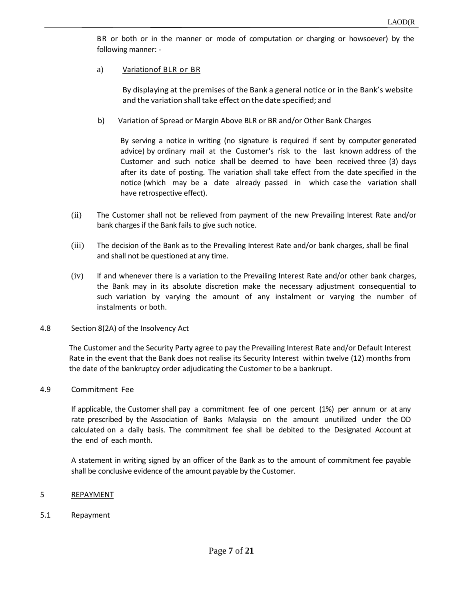) BR or both or in the manner or mode of computation or charging or howsoever) by the following manner: -

a) Variationof BLR or BR

By displaying at the premises of the Bank a general notice or in the Bank's website and the variation shall take effect on the date specified; and

b) Variation of Spread or Margin Above BLR or BR and/or Other Bank Charges

By serving a notice in writing (no signature is required if sent by computer generated advice) by ordinary mail at the Customer's risk to the last known address of the Customer and such notice shall be deemed to have been received three (3) days after its date of posting. The variation shall take effect from the date specified in the notice (which may be a date already passed in which case the variation shall have retrospective effect).

- (ii) The Customer shall not be relieved from payment of the new Prevailing Interest Rate and/or bank charges if the Bank fails to give such notice.
- (iii) The decision of the Bank as to the Prevailing Interest Rate and/or bank charges, shall be final and shall not be questioned at any time.
- (iv) If and whenever there is a variation to the Prevailing Interest Rate and/or other bank charges, the Bank may in its absolute discretion make the necessary adjustment consequential to such variation by varying the amount of any instalment or varying the number of instalments or both.
- 4.8 Section 8(2A) of the Insolvency Act

The Customer and the Security Party agree to pay the Prevailing Interest Rate and/or Default Interest Rate in the event that the Bank does not realise its Security Interest within twelve (12) months from the date of the bankruptcy order adjudicating the Customer to be a bankrupt.

## 4.9 Commitment Fee

If applicable, the Customer shall pay a commitment fee of one percent (1%) per annum or at any rate prescribed by the Association of Banks Malaysia on the amount unutilized under the OD calculated on a daily basis. The commitment fee shall be debited to the Designated Account at the end of each month.

A statement in writing signed by an officer of the Bank as to the amount of commitment fee payable shall be conclusive evidence of the amount payable by the Customer.

- 5 REPAYMENT
- 5.1 Repayment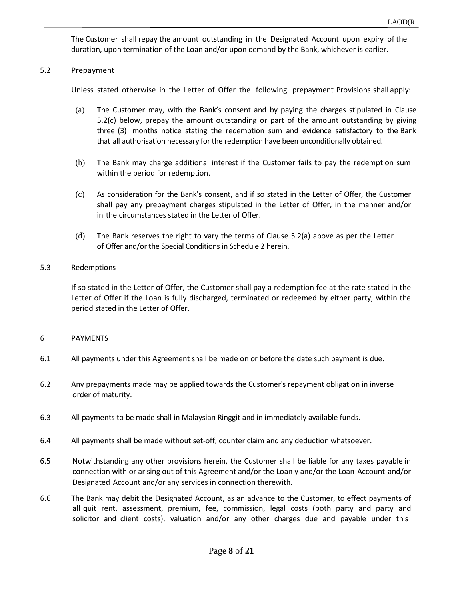) The Customer shall repay the amount outstanding in the Designated Account upon expiry of the duration, upon termination of the Loan and/or upon demand by the Bank, whichever is earlier.

## 5.2 Prepayment

Unless stated otherwise in the Letter of Offer the following prepayment Provisions shall apply:

- (a) The Customer may, with the Bank's consent and by paying the charges stipulated in Clause 5.2(c) below, prepay the amount outstanding or part of the amount outstanding by giving three (3) months notice stating the redemption sum and evidence satisfactory to the Bank that all authorisation necessary for the redemption have been unconditionally obtained.
- (b) The Bank may charge additional interest if the Customer fails to pay the redemption sum within the period for redemption.
- (c) As consideration for the Bank's consent, and if so stated in the Letter of Offer, the Customer shall pay any prepayment charges stipulated in the Letter of Offer, in the manner and/or in the circumstances stated in the Letter of Offer.
- (d) The Bank reserves the right to vary the terms of Clause 5.2(a) above as per the Letter of Offer and/or the Special Conditions in Schedule 2 herein.

## 5.3 Redemptions

If so stated in the Letter of Offer, the Customer shall pay a redemption fee at the rate stated in the Letter of Offer if the Loan is fully discharged, terminated or redeemed by either party, within the period stated in the Letter of Offer.

## 6 PAYMENTS

- 6.1 All payments under this Agreement shall be made on or before the date such payment is due.
- 6.2 Any prepayments made may be applied towards the Customer's repayment obligation in inverse order of maturity.
- 6.3 All payments to be made shall in Malaysian Ringgit and in immediately available funds.
- 6.4 All payments shall be made without set-off, counter claim and any deduction whatsoever.
- 6.5 Notwithstanding any other provisions herein, the Customer shall be liable for any taxes payable in connection with or arising out of this Agreement and/or the Loan y and/or the Loan Account and/or Designated Account and/or any services in connection therewith.
- 6.6 The Bank may debit the Designated Account, as an advance to the Customer, to effect payments of all quit rent, assessment, premium, fee, commission, legal costs (both party and party and solicitor and client costs), valuation and/or any other charges due and payable under this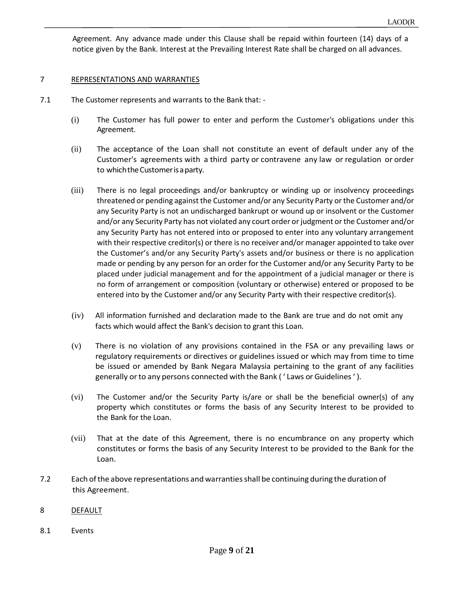) Agreement. Any advance made under this Clause shall be repaid within fourteen (14) days of a notice given by the Bank. Interest at the Prevailing Interest Rate shall be charged on all advances.

## 7 REPRESENTATIONS AND WARRANTIES

- 7.1 The Customer represents and warrants to the Bank that:
	- (i) The Customer has full power to enter and perform the Customer's obligations under this Agreement.
	- (ii) The acceptance of the Loan shall not constitute an event of default under any of the Customer's agreements with a third party or contravene any law or regulation or order to which the Customer is a party.
	- (iii) There is no legal proceedings and/or bankruptcy or winding up or insolvency proceedings threatened or pending against the Customer and/or any Security Party or the Customer and/or any Security Party is not an undischarged bankrupt or wound up or insolvent or the Customer and/or any Security Party has not violated any court order or judgment or the Customer and/or any Security Party has not entered into or proposed to enter into any voluntary arrangement with their respective creditor(s) or there is no receiver and/or manager appointed to take over the Customer's and/or any Security Party's assets and/or business or there is no application made or pending by any person for an order for the Customer and/or any Security Party to be placed under judicial management and for the appointment of a judicial manager or there is no form of arrangement or composition (voluntary or otherwise) entered or proposed to be entered into by the Customer and/or any Security Party with their respective creditor(s).
	- (iv) All information furnished and declaration made to the Bank are true and do not omit any facts which would affect the Bank's decision to grant this Loan.
	- (v) There is no violation of any provisions contained in the FSA or any prevailing laws or regulatory requirements or directives or guidelines issued or which may from time to time be issued or amended by Bank Negara Malaysia pertaining to the grant of any facilities generally orto any persons connected with the Bank ( ' Laws or Guidelines' ).
	- (vi) The Customer and/or the Security Party is/are or shall be the beneficial owner(s) of any property which constitutes or forms the basis of any Security Interest to be provided to the Bank for the Loan.
	- (vii) That at the date of this Agreement, there is no encumbrance on any property which constitutes or forms the basis of any Security Interest to be provided to the Bank for the Loan.
- 7.2 Each of the above representations and warranties shall be continuing during the duration of this Agreement.
- 8 DEFAULT
- 8.1 Events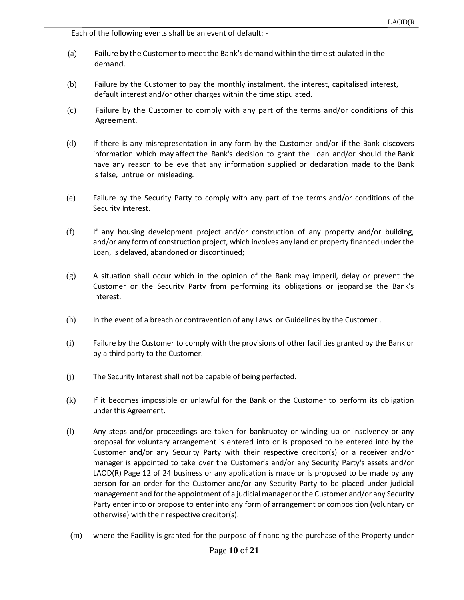Each of the following events shall be an event of default: -

- (a) Failure by the Customerto meetthe Bank's demand within the time stipulated in the demand.
- (b) Failure by the Customer to pay the monthly instalment, the interest, capitalised interest, default interest and/or other charges within the time stipulated.
- (c) Failure by the Customer to comply with any part of the terms and/or conditions of this Agreement.
- (d) If there is any misrepresentation in any form by the Customer and/or if the Bank discovers information which may affect the Bank's decision to grant the Loan and/or should the Bank have any reason to believe that any information supplied or declaration made to the Bank is false, untrue or misleading.
- (e) Failure by the Security Party to comply with any part of the terms and/or conditions of the Security Interest.
- (f) If any housing development project and/or construction of any property and/or building, and/or any form of construction project, which involves any land or property financed under the Loan, is delayed, abandoned or discontinued;
- (g) A situation shall occur which in the opinion of the Bank may imperil, delay or prevent the Customer or the Security Party from performing its obligations or jeopardise the Bank's interest.
- (h) In the event of a breach or contravention of any Laws or Guidelines by the Customer .
- (i) Failure by the Customer to comply with the provisions of other facilities granted by the Bank or by a third party to the Customer.
- (j) The Security Interest shall not be capable of being perfected.
- (k) If it becomes impossible or unlawful for the Bank or the Customer to perform its obligation under this Agreement.
- (l) Any steps and/or proceedings are taken for bankruptcy or winding up or insolvency or any proposal for voluntary arrangement is entered into or is proposed to be entered into by the Customer and/or any Security Party with their respective creditor(s) or a receiver and/or manager is appointed to take over the Customer's and/or any Security Party's assets and/or LAOD(R) Page 12 of 24 business or any application is made or is proposed to be made by any person for an order for the Customer and/or any Security Party to be placed under judicial management and for the appointment of a judicial manager or the Customer and/or any Security Party enter into or propose to enter into any form of arrangement or composition (voluntary or otherwise) with their respective creditor(s).
- (m) where the Facility is granted for the purpose of financing the purchase of the Property under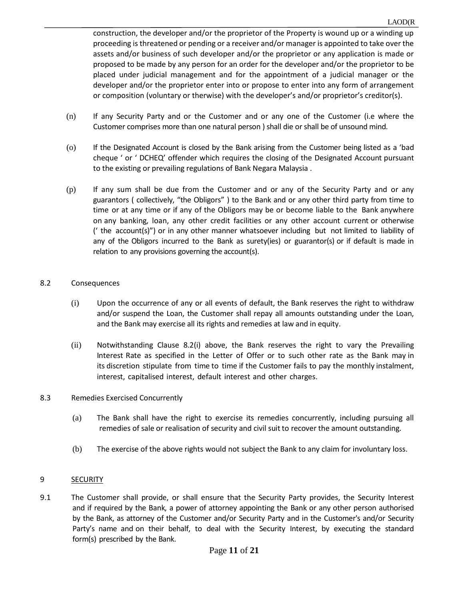) construction, the developer and/or the proprietor of the Property is wound up or a winding up proceeding is threatened or pending or a receiver and/or manager is appointed to take over the assets and/or business of such developer and/or the proprietor or any application is made or proposed to be made by any person for an order for the developer and/or the proprietor to be placed under judicial management and for the appointment of a judicial manager or the developer and/or the proprietor enter into or propose to enter into any form of arrangement or composition (voluntary or therwise) with the developer's and/or proprietor's creditor(s).

- (n) If any Security Party and or the Customer and or any one of the Customer (i.e where the Customer comprises more than one natural person ) shall die or shall be of unsound mind.
- (o) If the Designated Account is closed by the Bank arising from the Customer being listed as a 'bad cheque ' or ' DCHEQ' offender which requires the closing of the Designated Account pursuant to the existing or prevailing regulations of Bank Negara Malaysia .
- (p) If any sum shall be due from the Customer and or any of the Security Party and or any guarantors ( collectively, "the Obligors" ) to the Bank and or any other third party from time to time or at any time or if any of the Obligors may be or become liable to the Bank anywhere on any banking, loan, any other credit facilities or any other account current or otherwise (' the account(s)") or in any other manner whatsoever including but not limited to liability of any of the Obligors incurred to the Bank as surety(ies) or guarantor(s) or if default is made in relation to any provisions governing the account(s).

# 8.2 Consequences

- (i) Upon the occurrence of any or all events of default, the Bank reserves the right to withdraw and/or suspend the Loan, the Customer shall repay all amounts outstanding under the Loan, and the Bank may exercise all its rights and remedies at law and in equity.
- (ii) Notwithstanding Clause 8.2(i) above, the Bank reserves the right to vary the Prevailing Interest Rate as specified in the Letter of Offer or to such other rate as the Bank may in its discretion stipulate from time to time if the Customer fails to pay the monthly instalment, interest, capitalised interest, default interest and other charges.

# 8.3 Remedies Exercised Concurrently

- (a) The Bank shall have the right to exercise its remedies concurrently, including pursuing all remedies of sale or realisation of security and civil suit to recover the amount outstanding.
- (b) The exercise of the above rights would not subject the Bank to any claim for involuntary loss.

# 9 SECURITY

9.1 The Customer shall provide, or shall ensure that the Security Party provides, the Security Interest and if required by the Bank, a power of attorney appointing the Bank or any other person authorised by the Bank, as attorney of the Customer and/or Security Party and in the Customer's and/or Security Party's name and on their behalf, to deal with the Security Interest, by executing the standard form(s) prescribed by the Bank.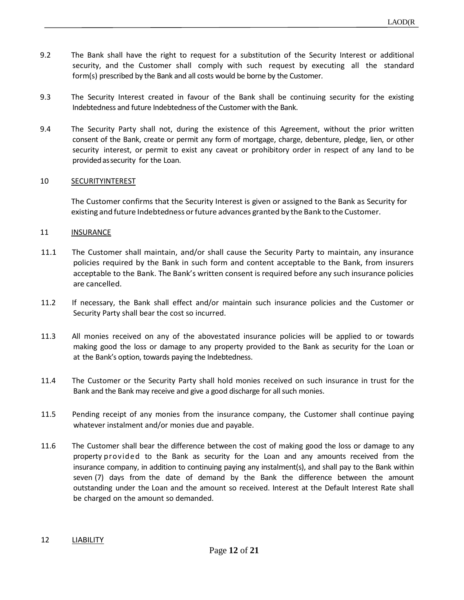- 9.2 The Bank shall have the right to request for a substitution of the Security Interest or additional security, and the Customer shall comply with such request by executing all the standard form(s) prescribed by the Bank and all costs would be borne by the Customer.
- 9.3 The Security Interest created in favour of the Bank shall be continuing security for the existing Indebtedness and future Indebtedness of the Customer with the Bank.
- 9.4 The Security Party shall not, during the existence of this Agreement, without the prior written consent of the Bank, create or permit any form of mortgage, charge, debenture, pledge, lien, or other security interest, or permit to exist any caveat or prohibitory order in respect of any land to be providedassecurity for the Loan.

## 10 SECURITYINTEREST

The Customer confirms that the Security Interest is given or assigned to the Bank as Security for existing and future Indebtedness orfuture advances granted by the Bank to the Customer.

### 11 INSURANCE

- 11.1 The Customer shall maintain, and/or shall cause the Security Party to maintain, any insurance policies required by the Bank in such form and content acceptable to the Bank, from insurers acceptable to the Bank. The Bank's written consent is required before any such insurance policies are cancelled.
- 11.2 If necessary, the Bank shall effect and/or maintain such insurance policies and the Customer or Security Party shall bear the cost so incurred.
- 11.3 All monies received on any of the abovestated insurance policies will be applied to or towards making good the loss or damage to any property provided to the Bank as security for the Loan or at the Bank's option, towards paying the Indebtedness.
- 11.4 The Customer or the Security Party shall hold monies received on such insurance in trust for the Bank and the Bank may receive and give a good discharge for all such monies.
- 11.5 Pending receipt of any monies from the insurance company, the Customer shall continue paying whatever instalment and/or monies due and payable.
- 11.6 The Customer shall bear the difference between the cost of making good the loss or damage to any property provided to the Bank as security for the Loan and any amounts received from the insurance company, in addition to continuing paying any instalment(s), and shall pay to the Bank within seven (7) days from the date of demand by the Bank the difference between the amount outstanding under the Loan and the amount so received. Interest at the Default Interest Rate shall be charged on the amount so demanded.

### 12 LIABILITY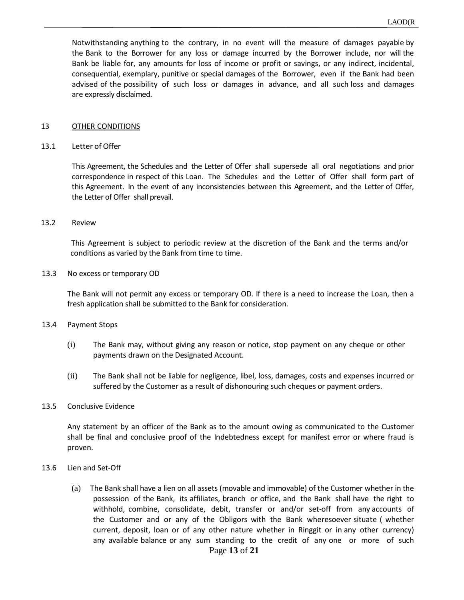Notwithstanding anything to the contrary, in no event will the measure of damages payable by the Bank to the Borrower for any loss or damage incurred by the Borrower include, nor will the Bank be liable for, any amounts for loss of income or profit or savings, or any indirect, incidental, consequential, exemplary, punitive or special damages of the Borrower, even if the Bank had been advised of the possibility of such loss or damages in advance, and all such loss and damages are expressly disclaimed.

#### 13 OTHER CONDITIONS

#### 13.1 Letter of Offer

This Agreement, the Schedules and the Letter of Offer shall supersede all oral negotiations and prior correspondence in respect of this Loan. The Schedules and the Letter of Offer shall form part of this Agreement. In the event of any inconsistencies between this Agreement, and the Letter of Offer, the Letter of Offer shall prevail.

#### 13.2 Review

This Agreement is subject to periodic review at the discretion of the Bank and the terms and/or conditions as varied by the Bank from time to time.

#### 13.3 No excess or temporary OD

The Bank will not permit any excess or temporary OD. If there is a need to increase the Loan, then a fresh application shall be submitted to the Bank for consideration.

### 13.4 Payment Stops

- (i) The Bank may, without giving any reason or notice, stop payment on any cheque or other payments drawn on the Designated Account.
- (ii) The Bank shall not be liable for negligence, libel, loss, damages, costs and expenses incurred or suffered by the Customer as a result of dishonouring such cheques or payment orders.

### 13.5 Conclusive Evidence

Any statement by an officer of the Bank as to the amount owing as communicated to the Customer shall be final and conclusive proof of the Indebtedness except for manifest error or where fraud is proven.

- 13.6 Lien and Set-Off
	- (a) The Bank shall have a lien on all assets (movable and immovable) of the Customer whether in the possession of the Bank, its affiliates, branch or office, and the Bank shall have the right to withhold, combine, consolidate, debit, transfer or and/or set-off from any accounts of the Customer and or any of the Obligors with the Bank wheresoever situate ( whether current, deposit, loan or of any other nature whether in Ringgit or in any other currency) any available balance or any sum standing to the credit of any one or more of such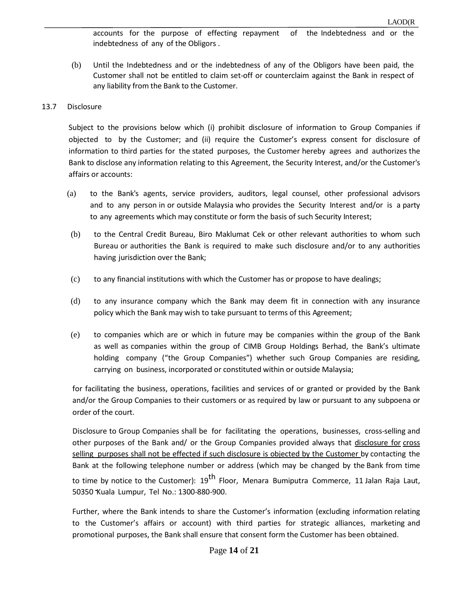accounts for the purpose of effecting repayment of the Indebtedness and or the indebtedness of any of the Obligors .

(b) Until the Indebtedness and or the indebtedness of any of the Obligors have been paid, the Customer shall not be entitled to claim set-off or counterclaim against the Bank in respect of any liability from the Bank to the Customer.

## 13.7 Disclosure

Subject to the provisions below which (i) prohibit disclosure of information to Group Companies if objected to by the Customer; and (ii) require the Customer's express consent for disclosure of information to third parties for the stated purposes, the Customer hereby agrees and authorizes the Bank to disclose any information relating to this Agreement, the Security Interest, and/or the Customer's affairs or accounts:

- (a) to the Bank's agents, service providers, auditors, legal counsel, other professional advisors and to any person in or outside Malaysia who provides the Security Interest and/or is a party to any agreements which may constitute or form the basis of such Security Interest;
- (b) to the Central Credit Bureau, Biro Maklumat Cek or other relevant authorities to whom such Bureau or authorities the Bank is required to make such disclosure and/or to any authorities having jurisdiction over the Bank;
- (c) to any financial institutions with which the Customer has or propose to have dealings;
- (d) to any insurance company which the Bank may deem fit in connection with any insurance policy which the Bank may wish to take pursuant to terms of this Agreement;
- (e) to companies which are or which in future may be companies within the group of the Bank as well as companies within the group of CIMB Group Holdings Berhad, the Bank's ultimate holding company ("the Group Companies") whether such Group Companies are residing, carrying on business, incorporated or constituted within or outside Malaysia;

for facilitating the business, operations, facilities and services of or granted or provided by the Bank and/or the Group Companies to their customers or as required by law or pursuant to any subpoena or order of the court.

Disclosure to Group Companies shall be for facilitating the operations, businesses, cross-selling and other purposes of the Bank and/ or the Group Companies provided always that disclosure for cross selling purposes shall not be effected if such disclosure is objected by the Customer by contacting the Bank at the following telephone number or address (which may be changed by the Bank from time to time by notice to the Customer): 19<sup>th</sup> Floor, Menara Bumiputra Commerce, 11 Jalan Raja Laut, 50350 Kuala Lumpur, Tel No.: 1300-880-900.

Further, where the Bank intends to share the Customer's information (excluding information relating to the Customer's affairs or account) with third parties for strategic alliances, marketing and promotional purposes, the Bank shall ensure that consent form the Customer has been obtained.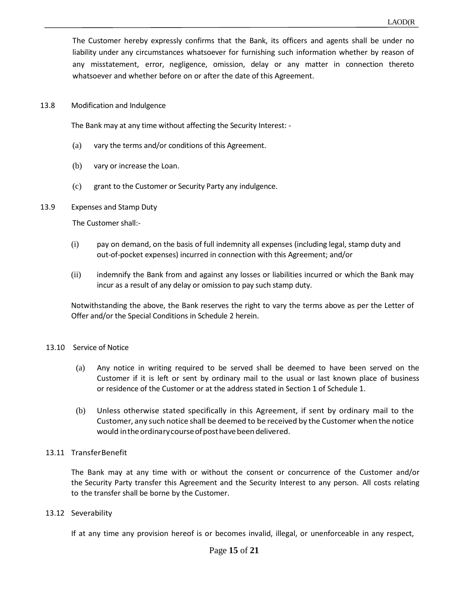The Customer hereby expressly confirms that the Bank, its officers and agents shall be under no liability under any circumstances whatsoever for furnishing such information whether by reason of any misstatement, error, negligence, omission, delay or any matter in connection thereto whatsoever and whether before on or after the date of this Agreement.

### 13.8 Modification and Indulgence

The Bank may at any time without affecting the Security Interest: -

- (a) vary the terms and/or conditions of this Agreement.
- (b) vary or increase the Loan.
- (c) grant to the Customer or Security Party any indulgence.

## 13.9 Expenses and Stamp Duty

The Customer shall:-

- (i) pay on demand, on the basis of full indemnity all expenses (including legal, stamp duty and out-of-pocket expenses) incurred in connection with this Agreement; and/or
- (ii) indemnify the Bank from and against any losses or liabilities incurred or which the Bank may incur as a result of any delay or omission to pay such stamp duty.

Notwithstanding the above, the Bank reserves the right to vary the terms above as per the Letter of Offer and/or the Special Conditions in Schedule 2 herein.

## 13.10 Service of Notice

- (a) Any notice in writing required to be served shall be deemed to have been served on the Customer if it is left or sent by ordinary mail to the usual or last known place of business or residence of the Customer or at the address stated in Section 1 of Schedule 1.
- (b) Unless otherwise stated specifically in this Agreement, if sent by ordinary mail to the Customer, any such notice shall be deemed to be received by the Customer when the notice would in the ordinary course of post have been delivered.

## 13.11 TransferBenefit

The Bank may at any time with or without the consent or concurrence of the Customer and/or the Security Party transfer this Agreement and the Security Interest to any person. All costs relating to the transfer shall be borne by the Customer.

## 13.12 Severability

If at any time any provision hereof is or becomes invalid, illegal, or unenforceable in any respect,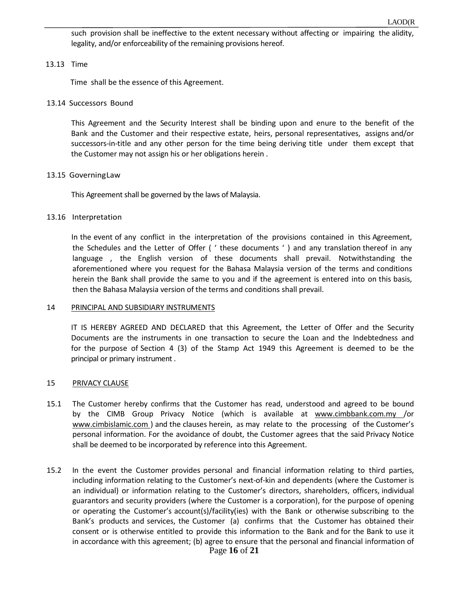such provision shall be ineffective to the extent necessary without affecting or impairing the alidity, legality, and/or enforceability of the remaining provisions hereof.

#### 13.13 Time

Time shall be the essence of this Agreement.

#### 13.14 Successors Bound

This Agreement and the Security Interest shall be binding upon and enure to the benefit of the Bank and the Customer and their respective estate, heirs, personal representatives, assigns and/or successors-in-title and any other person for the time being deriving title under them except that the Customer may not assign his or her obligations herein .

### 13.15 GoverningLaw

This Agreement shall be governed by the laws of Malaysia.

#### 13.16 Interpretation

In the event of any conflict in the interpretation of the provisions contained in this Agreement, the Schedules and the Letter of Offer ( ' these documents ' ) and any translation thereof in any language , the English version of these documents shall prevail. Notwithstanding the aforementioned where you request for the Bahasa Malaysia version of the terms and conditions herein the Bank shall provide the same to you and if the agreement is entered into on this basis, then the Bahasa Malaysia version of the terms and conditions shall prevail.

#### 14 PRINCIPAL AND SUBSIDIARY INSTRUMENTS

IT IS HEREBY AGREED AND DECLARED that this Agreement, the Letter of Offer and the Security Documents are the instruments in one transaction to secure the Loan and the Indebtedness and for the purpose of Section 4 (3) of the Stamp Act 1949 this Agreement is deemed to be the principal or primary instrument .

### 15 PRIVACY CLAUSE

- 15.1 The Customer hereby confirms that the Customer has read, understood and agreed to be bound by the CIMB Group Privacy Notice (which is available at [www.cimbbank.com.my](http://www.cimbbank.com.my/) /or [www.cimbislamic.com](http://www.cimbislamic.com/) ) and the clauses herein, as may relate to the processing of the Customer's personal information. For the avoidance of doubt, the Customer agrees that the said Privacy Notice shall be deemed to be incorporated by reference into this Agreement.
- Page **16** of **21** 15.2 In the event the Customer provides personal and financial information relating to third parties, including information relating to the Customer's next-of-kin and dependents (where the Customer is an individual) or information relating to the Customer's directors, shareholders, officers, individual guarantors and security providers (where the Customer is a corporation), for the purpose of opening or operating the Customer's account(s)/facility(ies) with the Bank or otherwise subscribing to the Bank's products and services, the Customer (a) confirms that the Customer has obtained their consent or is otherwise entitled to provide this information to the Bank and for the Bank to use it in accordance with this agreement; (b) agree to ensure that the personal and financial information of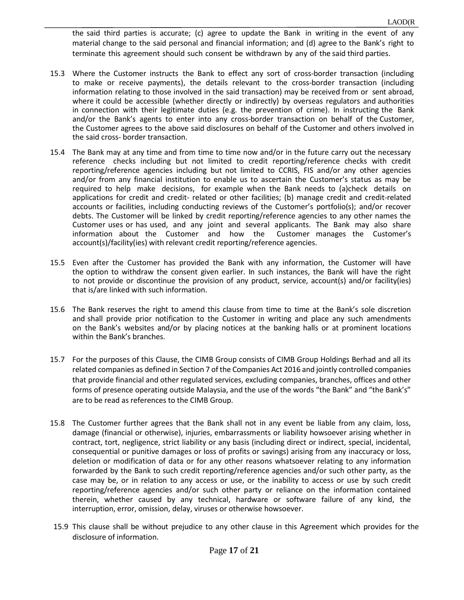) the said third parties is accurate; (c) agree to update the Bank in writing in the event of any material change to the said personal and financial information; and (d) agree to the Bank's right to terminate this agreement should such consent be withdrawn by any of the said third parties.

- 15.3 Where the Customer instructs the Bank to effect any sort of cross-border transaction (including to make or receive payments), the details relevant to the cross-border transaction (including information relating to those involved in the said transaction) may be received from or sent abroad, where it could be accessible (whether directly or indirectly) by overseas regulators and authorities in connection with their legitimate duties (e.g. the prevention of crime). In instructing the Bank and/or the Bank's agents to enter into any cross-border transaction on behalf of the Customer, the Customer agrees to the above said disclosures on behalf of the Customer and others involved in the said cross- border transaction.
- 15.4 The Bank may at any time and from time to time now and/or in the future carry out the necessary reference checks including but not limited to credit reporting/reference checks with credit reporting/reference agencies including but not limited to CCRIS, FIS and/or any other agencies and/or from any financial institution to enable us to ascertain the Customer's status as may be required to help make decisions, for example when the Bank needs to (a)check details on applications for credit and credit- related or other facilities; (b) manage credit and credit-related accounts or facilities, including conducting reviews of the Customer's portfolio(s); and/or recover debts. The Customer will be linked by credit reporting/reference agencies to any other names the Customer uses or has used, and any joint and several applicants. The Bank may also share information about the Customer and how the Customer manages the Customer's account(s)/facility(ies) with relevant credit reporting/reference agencies.
- 15.5 Even after the Customer has provided the Bank with any information, the Customer will have the option to withdraw the consent given earlier. In such instances, the Bank will have the right to not provide or discontinue the provision of any product, service, account(s) and/or facility(ies) that is/are linked with such information.
- 15.6 The Bank reserves the right to amend this clause from time to time at the Bank's sole discretion and shall provide prior notification to the Customer in writing and place any such amendments on the Bank's websites and/or by placing notices at the banking halls or at prominent locations within the Bank's branches.
- 15.7 For the purposes of this Clause, the CIMB Group consists of CIMB Group Holdings Berhad and all its related companies as defined in Section 7 of the Companies Act 2016 and jointly controlled companies that provide financial and other regulated services, excluding companies, branches, offices and other forms of presence operating outside Malaysia, and the use of the words "the Bank" and "the Bank's" are to be read as references to the CIMB Group.
- 15.8 The Customer further agrees that the Bank shall not in any event be liable from any claim, loss, damage (financial or otherwise), injuries, embarrassments or liability howsoever arising whether in contract, tort, negligence, strict liability or any basis (including direct or indirect, special, incidental, consequential or punitive damages or loss of profits or savings) arising from any inaccuracy or loss, deletion or modification of data or for any other reasons whatsoever relating to any information forwarded by the Bank to such credit reporting/reference agencies and/or such other party, as the case may be, or in relation to any access or use, or the inability to access or use by such credit reporting/reference agencies and/or such other party or reliance on the information contained therein, whether caused by any technical, hardware or software failure of any kind, the interruption, error, omission, delay, viruses or otherwise howsoever.
- 15.9 This clause shall be without prejudice to any other clause in this Agreement which provides for the disclosure of information.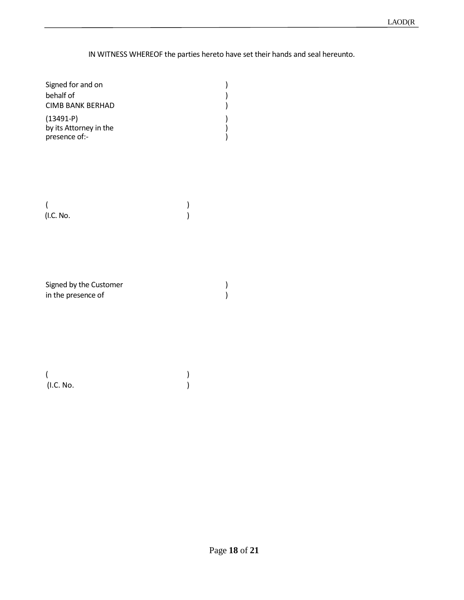# IN WITNESS WHEREOF the parties hereto have set their hands and seal hereunto.

| Signed for and on       |  |
|-------------------------|--|
| behalf of               |  |
| <b>CIMB BANK BERHAD</b> |  |
| $(13491-P)$             |  |
| by its Attorney in the  |  |
| presence of:-           |  |

 $($ (I.C. No. )

Signed by the Customer ) <br>in the presence of ) in the presence of

 $($ (I.C. No. )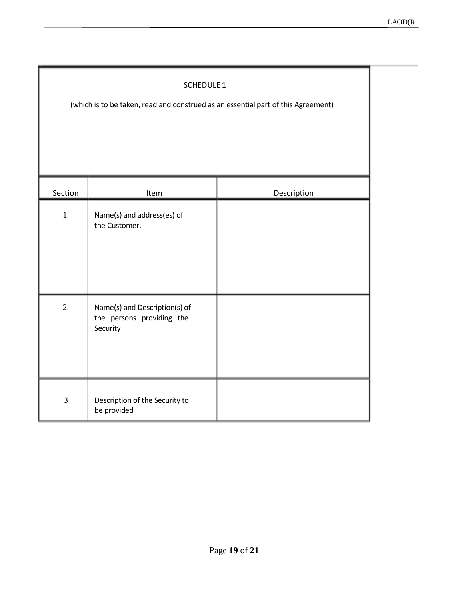| SCHEDULE 1<br>(which is to be taken, read and construed as an essential part of this Agreement) |                                                                        |             |  |  |  |  |  |
|-------------------------------------------------------------------------------------------------|------------------------------------------------------------------------|-------------|--|--|--|--|--|
| Section                                                                                         | Item                                                                   | Description |  |  |  |  |  |
| 1.                                                                                              | Name(s) and address(es) of<br>the Customer.                            |             |  |  |  |  |  |
| 2.                                                                                              | Name(s) and Description(s) of<br>the persons providing the<br>Security |             |  |  |  |  |  |
| 3                                                                                               | Description of the Security to<br>be provided                          |             |  |  |  |  |  |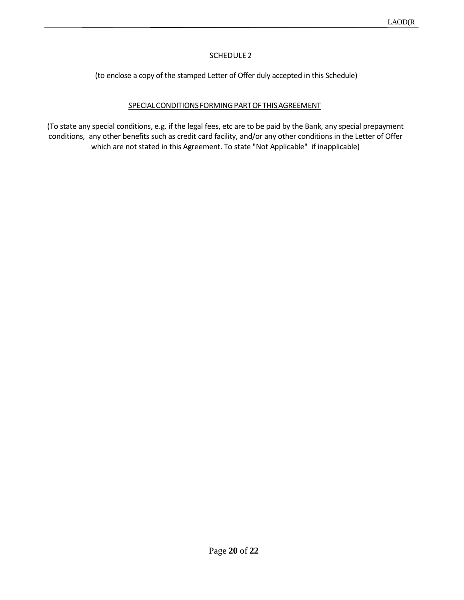# SCHEDULE 2

(to enclose a copy of the stamped Letter of Offer duly accepted in this Schedule)

# SPECIAL CONDITIONS FORMING PART OF THIS AGREEMENT

(To state any special conditions, e.g. if the legal fees, etc are to be paid by the Bank, any special prepayment conditions, any other benefits such as credit card facility, and/or any other conditions in the Letter of Offer which are not stated in this Agreement. To state "Not Applicable" if inapplicable)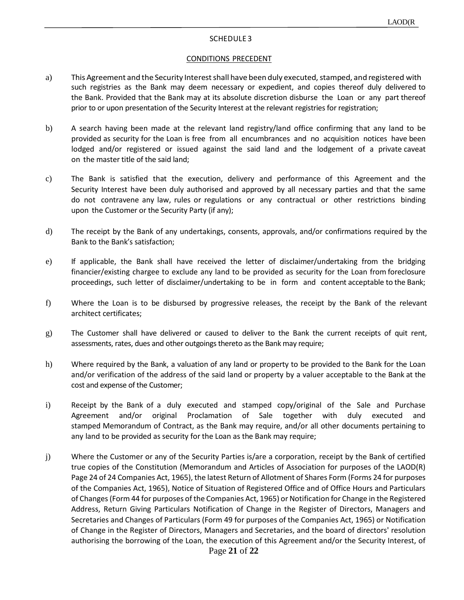### SCHEDULE 3

### CONDITIONS PRECEDENT

- a) This Agreement and the Security Interest shall have been duly executed, stamped, and registered with such registries as the Bank may deem necessary or expedient, and copies thereof duly delivered to the Bank. Provided that the Bank may at its absolute discretion disburse the Loan or any part thereof prior to or upon presentation of the Security Interest at the relevant registries for registration;
- b) A search having been made at the relevant land registry/land office confirming that any land to be provided as security for the Loan is free from all encumbrances and no acquisition notices have been lodged and/or registered or issued against the said land and the lodgement of a private caveat on the master title of the said land;
- c) The Bank is satisfied that the execution, delivery and performance of this Agreement and the Security Interest have been duly authorised and approved by all necessary parties and that the same do not contravene any law, rules or regulations or any contractual or other restrictions binding upon the Customer or the Security Party (if any);
- d) The receipt by the Bank of any undertakings, consents, approvals, and/or confirmations required by the Bank to the Bank's satisfaction;
- e) If applicable, the Bank shall have received the letter of disclaimer/undertaking from the bridging financier/existing chargee to exclude any land to be provided as security for the Loan from foreclosure proceedings, such letter of disclaimer/undertaking to be in form and content acceptable to the Bank;
- f) Where the Loan is to be disbursed by progressive releases, the receipt by the Bank of the relevant architect certificates;
- g) The Customer shall have delivered or caused to deliver to the Bank the current receipts of quit rent, assessments, rates, dues and other outgoingsthereto asthe Bank may require;
- h) Where required by the Bank, a valuation of any land or property to be provided to the Bank for the Loan and/or verification of the address of the said land or property by a valuer acceptable to the Bank at the cost and expense of the Customer;
- i) Receipt by the Bank of a duly executed and stamped copy/original of the Sale and Purchase Agreement and/or original Proclamation of Sale together with duly executed and stamped Memorandum of Contract, as the Bank may require, and/or all other documents pertaining to any land to be provided as security for the Loan as the Bank may require;
- j) Where the Customer or any of the Security Parties is/are a corporation, receipt by the Bank of certified true copies of the Constitution (Memorandum and Articles of Association for purposes of the LAOD(R) Page 24 of 24 Companies Act, 1965), the latest Return of Allotment of Shares Form (Forms 24 for purposes of the Companies Act, 1965), Notice of Situation of Registered Office and of Office Hours and Particulars of Changes (Form 44 for purposes of the Companies Act, 1965) or Notification for Change in the Registered Address, Return Giving Particulars Notification of Change in the Register of Directors, Managers and Secretaries and Changes of Particulars (Form 49 for purposes of the Companies Act, 1965) or Notification of Change in the Register of Directors, Managers and Secretaries, and the board of directors' resolution authorising the borrowing of the Loan, the execution of this Agreement and/or the Security Interest, of